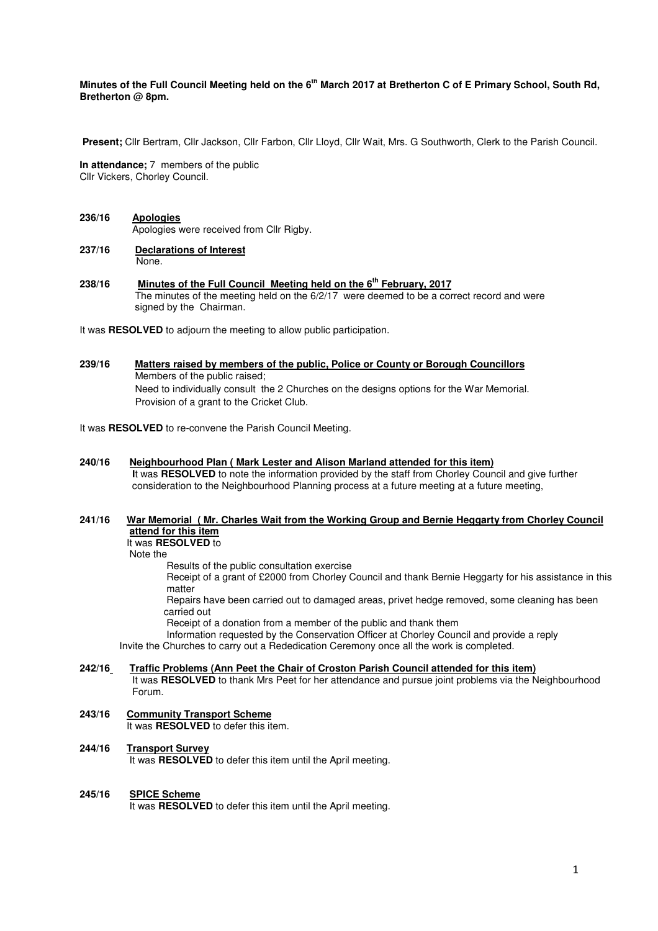### **Minutes of the Full Council Meeting held on the 6th March 2017 at Bretherton C of E Primary School, South Rd, Bretherton @ 8pm.**

 **Present;** Cllr Bertram, Cllr Jackson, Cllr Farbon, Cllr Lloyd, Cllr Wait, Mrs. G Southworth, Clerk to the Parish Council.

**In attendance;** 7 members of the public Cllr Vickers, Chorley Council.

#### **236/16 Apologies** Apologies were received from Cllr Rigby.

- **237/16 Declarations of Interest** None.
- **238/16 Minutes of the Full Council Meeting held on the 6th February, 2017**  The minutes of the meeting held on the 6/2/17 were deemed to be a correct record and were signed by the Chairman.

It was **RESOLVED** to adjourn the meeting to allow public participation.

**239/16 Matters raised by members of the public, Police or County or Borough Councillors**  Members of the public raised; Need to individually consult the 2 Churches on the designs options for the War Memorial. Provision of a grant to the Cricket Club.

It was **RESOLVED** to re-convene the Parish Council Meeting.

#### **240/16 Neighbourhood Plan ( Mark Lester and Alison Marland attended for this item) I**t was **RESOLVED** to note the information provided by the staff from Chorley Council and give further consideration to the Neighbourhood Planning process at a future meeting at a future meeting,

### **241/16 War Memorial ( Mr. Charles Wait from the Working Group and Bernie Heggarty from Chorley Council attend for this item**

It was **RESOLVED** to

Note the

Results of the public consultation exercise

Receipt of a grant of £2000 from Chorley Council and thank Bernie Heggarty for his assistance in this matter

 Repairs have been carried out to damaged areas, privet hedge removed, some cleaning has been carried out

Receipt of a donation from a member of the public and thank them

Information requested by the Conservation Officer at Chorley Council and provide a reply

Invite the Churches to carry out a Rededication Ceremony once all the work is completed.

#### **242/16 Traffic Problems (Ann Peet the Chair of Croston Parish Council attended for this item)**

It was **RESOLVED** to thank Mrs Peet for her attendance and pursue joint problems via the Neighbourhood Forum.

**243/16 Community Transport Scheme**  It was **RESOLVED** to defer this item.

# **244/16 Transport Survey**

It was **RESOLVED** to defer this item until the April meeting.

#### **245/16 SPICE Scheme**

It was **RESOLVED** to defer this item until the April meeting.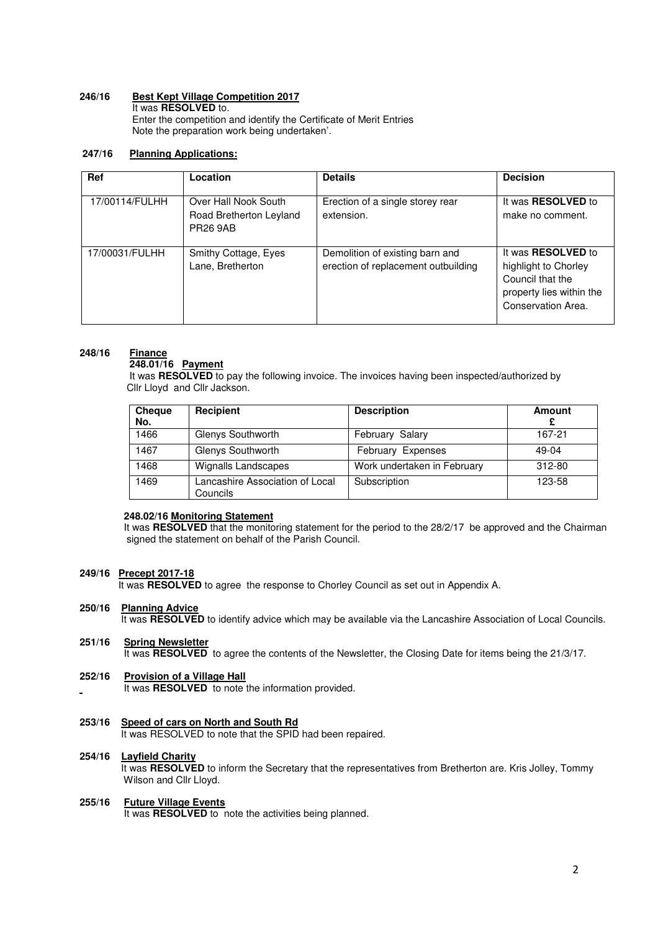## **246/16 Best Kept Village Competition 2017**

 It was **RESOLVED** to. Enter the competition and identify the Certificate of Merit Entries Note the preparation work being undertaken'.

# **247/16 Planning Applications:**

| Ref            | Location                                                           | <b>Details</b>                                                         | <b>Decision</b>                                                                                                  |
|----------------|--------------------------------------------------------------------|------------------------------------------------------------------------|------------------------------------------------------------------------------------------------------------------|
| 17/00114/FULHH | Over Hall Nook South<br>Road Bretherton Leyland<br><b>PR26 9AB</b> | Erection of a single storey rear<br>extension.                         | It was <b>RESOLVED</b> to<br>make no comment.                                                                    |
| 17/00031/FULHH | Smithy Cottage, Eyes<br>Lane, Bretherton                           | Demolition of existing barn and<br>erection of replacement outbuilding | It was RESOLVED to<br>highlight to Chorley<br>Council that the<br>property lies within the<br>Conservation Area. |

# **248/16 Finance**

# **248.01/16 Payment**

 It was **RESOLVED** to pay the following invoice. The invoices having been inspected/authorized by **Cllr Lloyd and Cllr Jackson.** 

| Cheque<br>No. | Recipient                                   | <b>Description</b>          | <b>Amount</b> |
|---------------|---------------------------------------------|-----------------------------|---------------|
| 1466          | Glenys Southworth                           | February Salary             | 167-21        |
| 1467          | Glenys Southworth                           | <b>February Expenses</b>    | 49-04         |
| 1468          | Wignalls Landscapes                         | Work undertaken in February | 312-80        |
| 1469          | Lancashire Association of Local<br>Councils | Subscription                | 123-58        |

#### **248.02/16 Monitoring Statement**

It was **RESOLVED** that the monitoring statement for the period to the 28/2/17 be approved and the Chairman signed the statement on behalf of the Parish Council.

### **249/16 Precept 2017-18**

It was **RESOLVED** to agree the response to Chorley Council as set out in Appendix A.

### **250/16 Planning Advice**

It was **RESOLVED** to identify advice which may be available via the Lancashire Association of Local Councils.

### **251/16 Spring Newsletter**

It was **RESOLVED** to agree the contents of the Newsletter, the Closing Date for items being the 21/3/17.

### **252/16 Provision of a Village Hall**

It was **RESOLVED** to note the information provided.

### **253/16 Speed of cars on North and South Rd**

It was RESOLVED to note that the SPID had been repaired.

#### **254/16 Layfield Charity**

 It was **RESOLVED** to inform the Secretary that the representatives from Bretherton are. Kris Jolley, Tommy Wilson and Cllr Lloyd.

# **255/16 Future Village Events**

It was **RESOLVED** to note the activities being planned.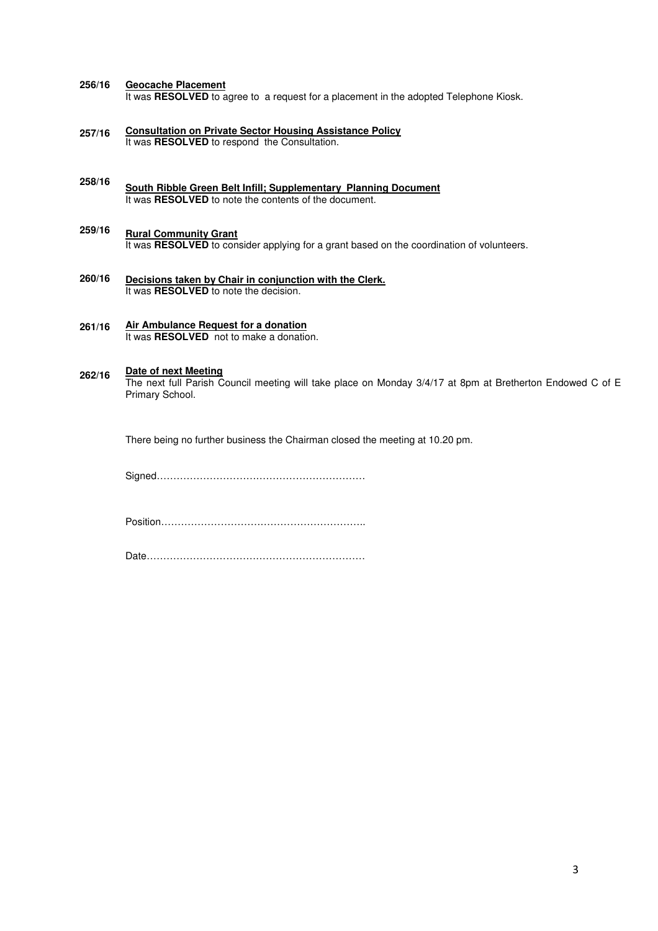#### **256/16 Geocache Placement**

It was RESOLVED to agree to a request for a placement in the adopted Telephone Kiosk.

- **257/16 Consultation on Private Sector Housing Assistance Policy**  It was **RESOLVED** to respond the Consultation.
- **258/16 South Ribble Green Belt Infill; Supplementary Planning Document**  It was **RESOLVED** to note the contents of the document.
- **259/16 Rural Community Grant**  It was **RESOLVED** to consider applying for a grant based on the coordination of volunteers.
- **260/16 Decisions taken by Chair in conjunction with the Clerk.**  It was **RESOLVED** to note the decision.
- **261/16 Air Ambulance Request for a donation**  It was **RESOLVED** not to make a donation.

#### **262/16 Date of next Meeting**

The next full Parish Council meeting will take place on Monday 3/4/17 at 8pm at Bretherton Endowed C of E Primary School.

There being no further business the Chairman closed the meeting at 10.20 pm.

Signed………………………………………………………

Position……………………………………………………..

Date…………………………………………………………